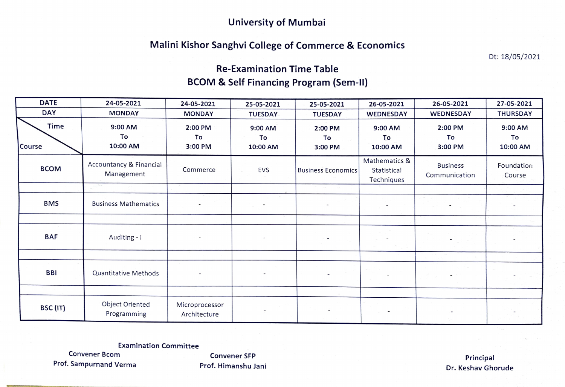#### University of Mumbai

#### Malini Kishor Sanghvi College of Commerce & Economics

Dt: 18/05/2021

## Re-Examination Time Table BCOM & Self Financing Program (Sem-II)

| <b>DATE</b>    | 24-05-2021                            | 24-05-2021                     | 25-05-2021                                            | 25-05-2021                | 26-05-2021                                 | 26-05-2021                       | 27-05-2021                |
|----------------|---------------------------------------|--------------------------------|-------------------------------------------------------|---------------------------|--------------------------------------------|----------------------------------|---------------------------|
| <b>DAY</b>     | <b>MONDAY</b>                         | <b>MONDAY</b>                  | <b>TUESDAY</b>                                        | <b>TUESDAY</b>            | WEDNESDAY                                  | WEDNESDAY                        | <b>THURSDAY</b>           |
| Time<br>Course | 9:00 AM<br>To<br>10:00 AM             | 2:00 PM<br>To<br>3:00 PM       | 9:00 AM<br>To<br>10:00 AM                             | 2:00 PM<br>To<br>3:00 PM  | 9:00 AM<br>To<br>10:00 AM                  | 2:00 PM<br>To<br>3:00 PM         | 9:00 AM<br>To<br>10:00 AM |
| <b>BCOM</b>    | Accountancy & Financial<br>Management | Commerce                       | <b>EVS</b>                                            | <b>Business Economics</b> | Mathematics &<br>Statistical<br>Techniques | <b>Business</b><br>Communication | Foundation<br>Course      |
|                |                                       |                                |                                                       |                           |                                            |                                  |                           |
| <b>BMS</b>     | <b>Business Mathematics</b>           |                                | $\mathcal{L}_{\rm{max}}$ and $\mathcal{L}_{\rm{max}}$ |                           | $\overline{\phantom{a}}$                   | $\overline{\phantom{a}}$         |                           |
|                |                                       |                                |                                                       |                           |                                            |                                  |                           |
| <b>BAF</b>     | Auditing - I                          |                                |                                                       | $\overline{\phantom{a}}$  |                                            |                                  |                           |
|                |                                       |                                |                                                       |                           |                                            |                                  |                           |
| <b>BBI</b>     | Quantitative Methods                  |                                |                                                       | $\overline{\phantom{a}}$  |                                            |                                  |                           |
|                |                                       |                                |                                                       |                           |                                            |                                  |                           |
| BSC (IT)       | Object Oriented<br>Programming        | Microprocessor<br>Architecture |                                                       | $\overline{\phantom{a}}$  | $\overline{\phantom{a}}$                   |                                  |                           |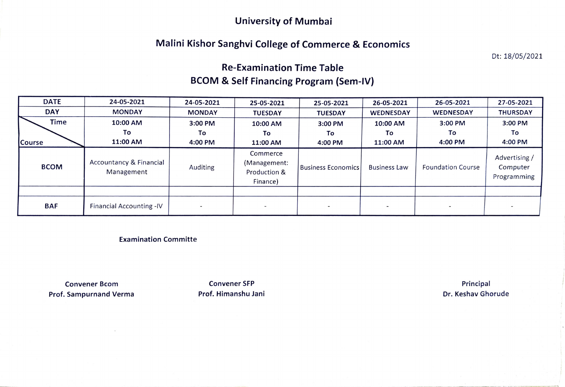#### University of Mumbai

### Malini Kishor Sanghvi College of Commerce & Economics

Dt: 18/05/2021

# Re-Examination Time Table BCOM & Self Financing Program (Sem-IV)

| <b>DATE</b>   | 24-05-2021                                       | 24-05-2021    | 25-05-2021                                           | 25-05-2021         | 26-05-2021          | 26-05-2021               | 27-05-2021                               |
|---------------|--------------------------------------------------|---------------|------------------------------------------------------|--------------------|---------------------|--------------------------|------------------------------------------|
| <b>DAY</b>    | <b>MONDAY</b>                                    | <b>MONDAY</b> | <b>TUESDAY</b>                                       | <b>TUESDAY</b>     | <b>WEDNESDAY</b>    | <b>WEDNESDAY</b>         | <b>THURSDAY</b>                          |
| <b>Time</b>   | 10:00 AM                                         | 3:00 PM       | 10:00 AM                                             | 3:00 PM            | 10:00 AM            | 3:00 PM                  | 3:00 PM                                  |
|               | To                                               | To            | To                                                   | To                 | Τo                  | To                       | To                                       |
| <b>Course</b> | 11:00 AM                                         | 4:00 PM       | 11:00 AM                                             | 4:00 PM            | 11:00 AM            | 4:00 PM                  | 4:00 PM                                  |
| <b>BCOM</b>   | <b>Accountancy &amp; Financial</b><br>Management | Auditing      | Commerce<br>(Management:<br>Production &<br>Finance) | Business Economics | <b>Business Law</b> | <b>Foundation Course</b> | Advertising /<br>Computer<br>Programming |
|               |                                                  |               |                                                      |                    |                     |                          |                                          |
| <b>BAF</b>    | Financial Accounting -IV                         |               |                                                      |                    |                     |                          |                                          |

Examination Committe

Convener Bcom **Convener SFP Convent CONVENTS CONVENTS EXAMPLE 2018** Principal Prof. Sampurnand Verma **Prof. Himanshu Jani** Dr. Keshav Ghorude